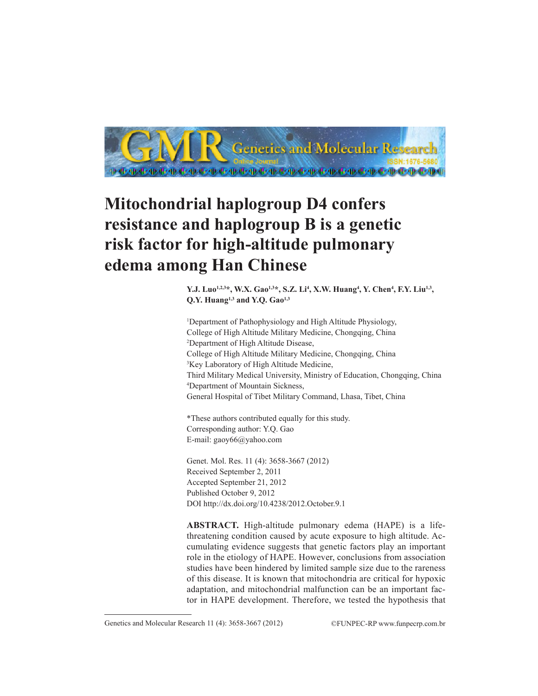

# **Mitochondrial haplogroup D4 confers resistance and haplogroup B is a genetic risk factor for high-altitude pulmonary edema among Han Chinese**

**Y.J.** Luo<sup>1,2,3\*</sup>, W.X. Gao<sup>1,3\*</sup>, S.Z. Li<sup>4</sup>, X.W. Huang<sup>4</sup>, Y. Chen<sup>4</sup>, F.Y. Liu<sup>1,3</sup>, Q.Y. Huang<sup>1,3</sup> and Y.Q. Gao<sup>1,3</sup>

1 Department of Pathophysiology and High Altitude Physiology, College of High Altitude Military Medicine, Chongqing, China 2 Department of High Altitude Disease, College of High Altitude Military Medicine, Chongqing, China 3 Key Laboratory of High Altitude Medicine, Third Military Medical University, Ministry of Education, Chongqing, China 4 Department of Mountain Sickness, General Hospital of Tibet Military Command, Lhasa, Tibet, China

\*These authors contributed equally for this study. Corresponding author: Y.Q. Gao E-mail: gaoy66@yahoo.com

Genet. Mol. Res. 11 (4): 3658-3667 (2012) Received September 2, 2011 Accepted September 21, 2012 Published October 9, 2012 DOI http://dx.doi.org/10.4238/2012.October.9.1

**ABSTRACT.** High-altitude pulmonary edema (HAPE) is a lifethreatening condition caused by acute exposure to high altitude. Accumulating evidence suggests that genetic factors play an important role in the etiology of HAPE. However, conclusions from association studies have been hindered by limited sample size due to the rareness of this disease. It is known that mitochondria are critical for hypoxic adaptation, and mitochondrial malfunction can be an important factor in HAPE development. Therefore, we tested the hypothesis that

Genetics and Molecular Research 11 (4): 3658-3667 (2012) ©FUNPEC-RP www.funpecrp.com.br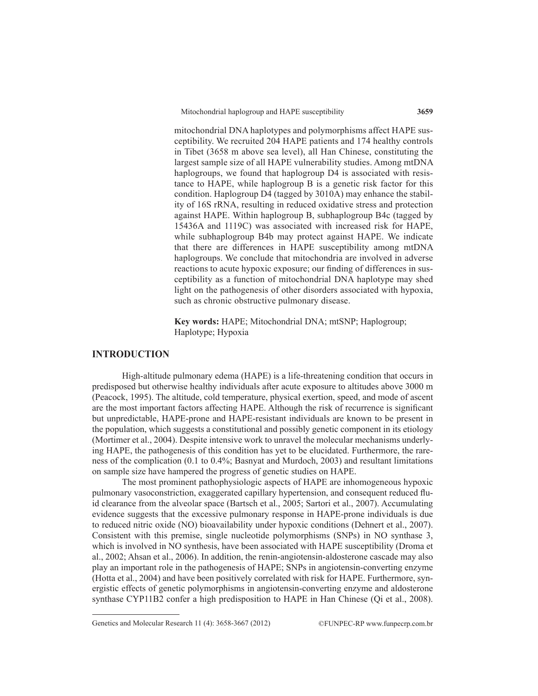mitochondrial DNA haplotypes and polymorphisms affect HAPE susceptibility. We recruited 204 HAPE patients and 174 healthy controls in Tibet (3658 m above sea level), all Han Chinese, constituting the largest sample size of all HAPE vulnerability studies. Among mtDNA haplogroups, we found that haplogroup D4 is associated with resistance to HAPE, while haplogroup B is a genetic risk factor for this condition. Haplogroup D4 (tagged by 3010A) may enhance the stability of 16S rRNA, resulting in reduced oxidative stress and protection against HAPE. Within haplogroup B, subhaplogroup B4c (tagged by 15436A and 1119C) was associated with increased risk for HAPE, while subhaplogroup B4b may protect against HAPE. We indicate that there are differences in HAPE susceptibility among mtDNA haplogroups. We conclude that mitochondria are involved in adverse reactions to acute hypoxic exposure; our finding of differences in susceptibility as a function of mitochondrial DNA haplotype may shed light on the pathogenesis of other disorders associated with hypoxia, such as chronic obstructive pulmonary disease.

**Key words:** HAPE; Mitochondrial DNA; mtSNP; Haplogroup; Haplotype; Hypoxia

# **INTRODUCTION**

High-altitude pulmonary edema (HAPE) is a life-threatening condition that occurs in predisposed but otherwise healthy individuals after acute exposure to altitudes above 3000 m (Peacock, 1995). The altitude, cold temperature, physical exertion, speed, and mode of ascent are the most important factors affecting HAPE. Although the risk of recurrence is significant but unpredictable, HAPE-prone and HAPE-resistant individuals are known to be present in the population, which suggests a constitutional and possibly genetic component in its etiology (Mortimer et al., 2004). Despite intensive work to unravel the molecular mechanisms underlying HAPE, the pathogenesis of this condition has yet to be elucidated. Furthermore, the rareness of the complication (0.1 to 0.4%; Basnyat and Murdoch, 2003) and resultant limitations on sample size have hampered the progress of genetic studies on HAPE.

The most prominent pathophysiologic aspects of HAPE are inhomogeneous hypoxic pulmonary vasoconstriction, exaggerated capillary hypertension, and consequent reduced fluid clearance from the alveolar space (Bartsch et al., 2005; Sartori et al., 2007). Accumulating evidence suggests that the excessive pulmonary response in HAPE-prone individuals is due to reduced nitric oxide (NO) bioavailability under hypoxic conditions (Dehnert et al., 2007). Consistent with this premise, single nucleotide polymorphisms (SNPs) in NO synthase 3, which is involved in NO synthesis, have been associated with HAPE susceptibility (Droma et al., 2002; Ahsan et al., 2006). In addition, the renin-angiotensin-aldosterone cascade may also play an important role in the pathogenesis of HAPE; SNPs in angiotensin-converting enzyme (Hotta et al., 2004) and have been positively correlated with risk for HAPE. Furthermore, synergistic effects of genetic polymorphisms in angiotensin-converting enzyme and aldosterone synthase CYP11B2 confer a high predisposition to HAPE in Han Chinese (Qi et al., 2008).

Genetics and Molecular Research 11 (4): 3658-3667 (2012) ©FUNPEC-RP www.funpecrp.com.br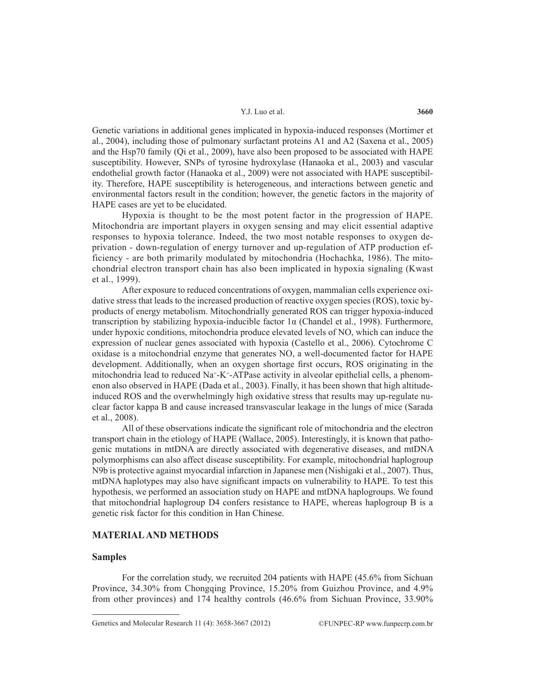Genetic variations in additional genes implicated in hypoxia-induced responses (Mortimer et al., 2004), including those of pulmonary surfactant proteins A1 and A2 (Saxena et al., 2005) and the Hsp70 family (Qi et al., 2009), have also been proposed to be associated with HAPE susceptibility. However, SNPs of tyrosine hydroxylase (Hanaoka et al., 2003) and vascular endothelial growth factor (Hanaoka et al., 2009) were not associated with HAPE susceptibility. Therefore, HAPE susceptibility is heterogeneous, and interactions between genetic and environmental factors result in the condition; however, the genetic factors in the majority of HAPE cases are yet to be elucidated.

Hypoxia is thought to be the most potent factor in the progression of HAPE. Mitochondria are important players in oxygen sensing and may elicit essential adaptive responses to hypoxia tolerance. Indeed, the two most notable responses to oxygen deprivation - down-regulation of energy turnover and up-regulation of ATP production efficiency - are both primarily modulated by mitochondria (Hochachka, 1986). The mitochondrial electron transport chain has also been implicated in hypoxia signaling (Kwast et al., 1999).

After exposure to reduced concentrations of oxygen, mammalian cells experience oxidative stress that leads to the increased production of reactive oxygen species (ROS), toxic byproducts of energy metabolism. Mitochondrially generated ROS can trigger hypoxia-induced transcription by stabilizing hypoxia-inducible factor 1α (Chandel et al., 1998). Furthermore, under hypoxic conditions, mitochondria produce elevated levels of NO, which can induce the expression of nuclear genes associated with hypoxia (Castello et al., 2006). Cytochrome C oxidase is a mitochondrial enzyme that generates NO, a well-documented factor for HAPE development. Additionally, when an oxygen shortage first occurs, ROS originating in the mitochondria lead to reduced  $Na^+K^+ATP$ ase activity in alveolar epithelial cells, a phenomenon also observed in HAPE (Dada et al., 2003). Finally, it has been shown that high altitudeinduced ROS and the overwhelmingly high oxidative stress that results may up-regulate nuclear factor kappa B and cause increased transvascular leakage in the lungs of mice (Sarada et al., 2008).

All of these observations indicate the significant role of mitochondria and the electron transport chain in the etiology of HAPE (Wallace, 2005). Interestingly, it is known that pathogenic mutations in mtDNA are directly associated with degenerative diseases, and mtDNA polymorphisms can also affect disease susceptibility. For example, mitochondrial haplogroup N9b is protective against myocardial infarction in Japanese men (Nishigaki et al., 2007). Thus, mtDNA haplotypes may also have significant impacts on vulnerability to HAPE. To test this hypothesis, we performed an association study on HAPE and mtDNA haplogroups. We found that mitochondrial haplogroup D4 confers resistance to HAPE, whereas haplogroup B is a genetic risk factor for this condition in Han Chinese.

## **MATERIAL AND METHODS**

## **Samples**

For the correlation study, we recruited 204 patients with HAPE (45.6% from Sichuan Province, 34.30% from Chongqing Province, 15.20% from Guizhou Province, and 4.9% from other provinces) and 174 healthy controls (46.6% from Sichuan Province, 33.90%

Genetics and Molecular Research 11 (4): 3658-3667 (2012) ©FUNPEC-RP www.funpecrp.com.br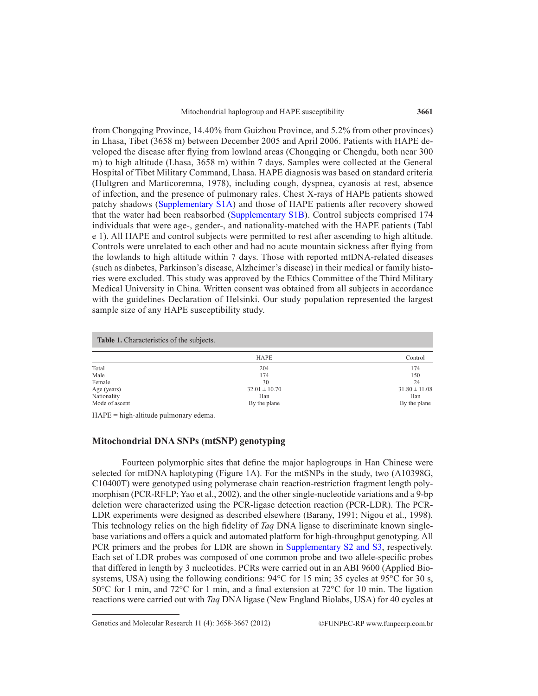from Chongqing Province, 14.40% from Guizhou Province, and 5.2% from other provinces) in Lhasa, Tibet (3658 m) between December 2005 and April 2006. Patients with HAPE developed the disease after flying from lowland areas (Chongqing or Chengdu, both near 300 m) to high altitude (Lhasa, 3658 m) within 7 days. Samples were collected at the General Hospital of Tibet Military Command, Lhasa. HAPE diagnosis was based on standard criteria (Hultgren and Marticoremna, 1978), including cough, dyspnea, cyanosis at rest, absence of infection, and the presence of pulmonary rales. Chest X-rays of HAPE patients showed patchy shadows [\(Supplementary S1A\)](www.geneticsmr.com/year2012/vol11-4/pdf/gmr_1688_supplementary_material.pdf) and those of HAPE patients after recovery showed that the water had been reabsorbed ([Supplementary S1B\)](www.geneticsmr.com/year2012/vol11-4/pdf/gmr_1688_supplementary_material.pdf). Control subjects comprised 174 individuals that were age-, gender-, and nationality-matched with the HAPE patients (Tabl e 1). All HAPE and control subjects were permitted to rest after ascending to high altitude. Controls were unrelated to each other and had no acute mountain sickness after flying from the lowlands to high altitude within 7 days. Those with reported mtDNA-related diseases (such as diabetes, Parkinson's disease, Alzheimer's disease) in their medical or family histories were excluded. This study was approved by the Ethics Committee of the Third Military Medical University in China. Written consent was obtained from all subjects in accordance with the guidelines Declaration of Helsinki. Our study population represented the largest sample size of any HAPE susceptibility study.

| <b>Table 1.</b> Characteristics of the subjects. |                   |                   |  |  |
|--------------------------------------------------|-------------------|-------------------|--|--|
|                                                  | <b>HAPE</b>       | Control           |  |  |
| Total                                            | 204               | 174               |  |  |
| Male                                             | 174               | 150               |  |  |
| Female                                           | 30                | 24                |  |  |
| Age (years)                                      | $32.01 \pm 10.70$ | $31.80 \pm 11.08$ |  |  |
| Nationality                                      | Han               | Han               |  |  |
| Mode of ascent                                   | By the plane      | By the plane      |  |  |

HAPE = high-altitude pulmonary edema.

# **Mitochondrial DNA SNPs (mtSNP) genotyping**

Fourteen polymorphic sites that define the major haplogroups in Han Chinese were selected for mtDNA haplotyping (Figure 1A). For the mtSNPs in the study, two (A10398G, C10400T) were genotyped using polymerase chain reaction-restriction fragment length polymorphism (PCR-RFLP; Yao et al., 2002), and the other single-nucleotide variations and a 9-bp deletion were characterized using the PCR-ligase detection reaction (PCR-LDR). The PCR-LDR experiments were designed as described elsewhere (Barany, 1991; Nigou et al., 1998). This technology relies on the high fidelity of *Taq* DNA ligase to discriminate known singlebase variations and offers a quick and automated platform for high-throughput genotyping. All PCR primers and the probes for LDR are shown in [Supplementary S2 and S3,](www.geneticsmr.com/year2012/vol11-4/pdf/gmr_1688_supplementary_material.pdf) respectively. Each set of LDR probes was composed of one common probe and two allele-specific probes that differed in length by 3 nucleotides. PCRs were carried out in an ABI 9600 (Applied Biosystems, USA) using the following conditions:  $94^{\circ}$ C for 15 min; 35 cycles at 95<sup>°</sup>C for 30 s, 50°C for 1 min, and 72°C for 1 min, and a final extension at 72°C for 10 min. The ligation reactions were carried out with *Taq* DNA ligase (New England Biolabs, USA) for 40 cycles at

Genetics and Molecular Research 11 (4): 3658-3667 (2012) ©FUNPEC-RP www.funpecrp.com.br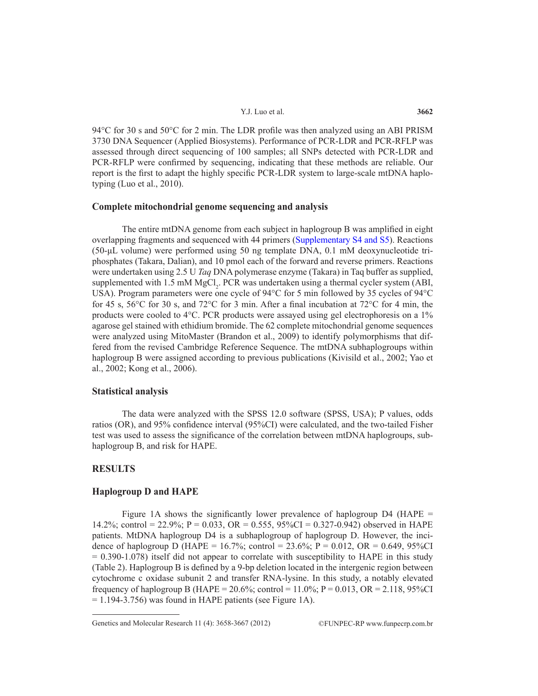94°C for 30 s and 50°C for 2 min. The LDR profile was then analyzed using an ABI PRISM 3730 DNA Sequencer (Applied Biosystems). Performance of PCR-LDR and PCR-RFLP was assessed through direct sequencing of 100 samples; all SNPs detected with PCR-LDR and PCR-RFLP were confirmed by sequencing, indicating that these methods are reliable. Our report is the first to adapt the highly specific PCR-LDR system to large-scale mtDNA haplotyping (Luo et al., 2010).

# **Complete mitochondrial genome sequencing and analysis**

The entire mtDNA genome from each subject in haplogroup B was amplified in eight overlapping fragments and sequenced with 44 primers [\(Supplementary S4 and S5](www.geneticsmr.com/year2012/vol11-4/pdf/gmr_1688_supplementary_material.pdf)). Reactions (50-μL volume) were performed using 50 ng template DNA, 0.1 mM deoxynucleotide triphosphates (Takara, Dalian), and 10 pmol each of the forward and reverse primers. Reactions were undertaken using 2.5 U *Taq* DNA polymerase enzyme (Takara) in Taq buffer as supplied, supplemented with  $1.5 \text{ mM MgCl}_2$ . PCR was undertaken using a thermal cycler system (ABI, USA). Program parameters were one cycle of 94°C for 5 min followed by 35 cycles of 94°C for 45 s, 56 $\degree$ C for 30 s, and 72 $\degree$ C for 3 min. After a final incubation at 72 $\degree$ C for 4 min, the products were cooled to 4°C. PCR products were assayed using gel electrophoresis on a 1% agarose gel stained with ethidium bromide. The 62 complete mitochondrial genome sequences were analyzed using MitoMaster (Brandon et al., 2009) to identify polymorphisms that differed from the revised Cambridge Reference Sequence. The mtDNA subhaplogroups within haplogroup B were assigned according to previous publications (Kivisild et al., 2002; Yao et al., 2002; Kong et al., 2006).

# **Statistical analysis**

The data were analyzed with the SPSS 12.0 software (SPSS, USA); P values, odds ratios (OR), and 95% confidence interval (95%CI) were calculated, and the two-tailed Fisher test was used to assess the significance of the correlation between mtDNA haplogroups, subhaplogroup B, and risk for HAPE.

# **RESULTS**

## **Haplogroup D and HAPE**

Figure 1A shows the significantly lower prevalence of haplogroup  $D4$  (HAPE = 14.2%; control = 22.9%; P = 0.033, OR = 0.555, 95%CI = 0.327-0.942) observed in HAPE patients. MtDNA haplogroup D4 is a subhaplogroup of haplogroup D. However, the incidence of haplogroup D (HAPE =  $16.7\%$ ; control =  $23.6\%$ ; P = 0.012, OR = 0.649, 95%CI  $= 0.390 - 1.078$ ) itself did not appear to correlate with susceptibility to HAPE in this study (Table 2). Haplogroup B is defined by a 9-bp deletion located in the intergenic region between cytochrome c oxidase subunit 2 and transfer RNA-lysine. In this study, a notably elevated frequency of haplogroup B (HAPE =  $20.6\%$ ; control =  $11.0\%$ ; P =  $0.013$ , OR =  $2.118$ , 95%CI  $= 1.194 - 3.756$ ) was found in HAPE patients (see Figure 1A).

Genetics and Molecular Research 11 (4): 3658-3667 (2012) ©FUNPEC-RP www.funpecrp.com.br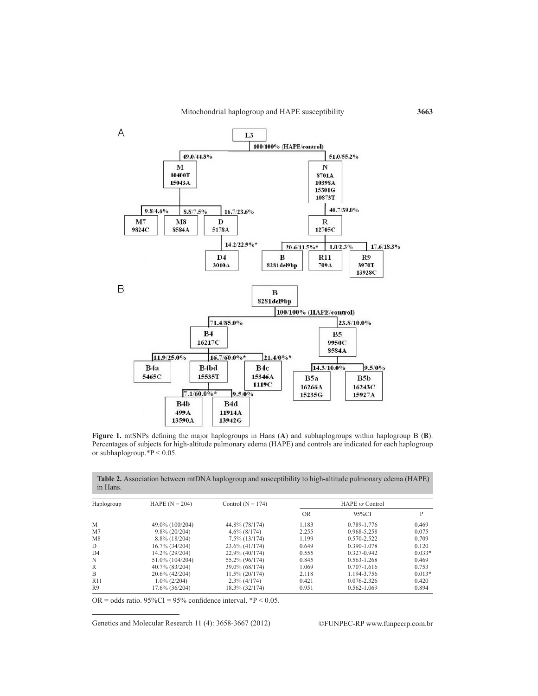

**Figure 1.** mtSNPs defining the major haplogroups in Hans (**A**) and subhaplogroups within haplogroup B (**B**). Percentages of subjects for high-altitude pulmonary edema (HAPE) and controls are indicated for each haplogroup or subhaplogroup.\*P < 0.05.

| Haplogroup      | HAPE $(N = 204)$ | Control ( $N = 174$ ) | HAPE <i>vs</i> Control |                 |          |
|-----------------|------------------|-----------------------|------------------------|-----------------|----------|
|                 |                  |                       | <b>OR</b>              | 95%CI           | P        |
| M               | 49.0% (100/204)  | 44.8% (78/174)        | 1.183                  | 0.789-1.776     | 0.469    |
| M <sub>7</sub>  | $9.8\%$ (20/204) | $4.6\%$ (8/174)       | 2.255                  | 0.968-5.258     | 0.075    |
| M8              | $8.8\%$ (18/204) | $7.5\%$ (13/174)      | 1.199                  | $0.570 - 2.522$ | 0.709    |
| D               | 16.7% (34/204)   | $23.6\%$ (41/174)     | 0.649                  | 0.390-1.078     | 0.120    |
| D <sub>4</sub>  | 14.2% (29/204)   | $22.9\%$ (40/174)     | 0.555                  | 0.327-0.942     | $0.033*$ |
| N               | 51.0% (104/204)  | 55.2% (96/174)        | 0.845                  | $0.563 - 1.268$ | 0.469    |
| R               | 40.7% (83/204)   | 39.0% (68/174)        | 1.069                  | $0.707 - 1.616$ | 0.753    |
| B               | 20.6% (42/204)   | $11.5\% (20/174)$     | 2.118                  | 1.194-3.756     | $0.013*$ |
| R <sub>11</sub> | $1.0\%$ (2/204)  | $2.3\%$ (4/174)       | 0.421                  | $0.076 - 2.326$ | 0.420    |
| R9              | 17.6% (36/204)   | 18.3% (32/174)        | 0.951                  | $0.562 - 1.069$ | 0.894    |

**Table 2.** Association between mtDNA haplogroup and susceptibility to high-altitude pulmonary edema (HAPE) in Hans.

OR = odds ratio.  $95\%$ CI =  $95\%$  confidence interval. \*P < 0.05.

Genetics and Molecular Research 11 (4): 3658-3667 (2012) ©FUNPEC-RP www.funpecrp.com.br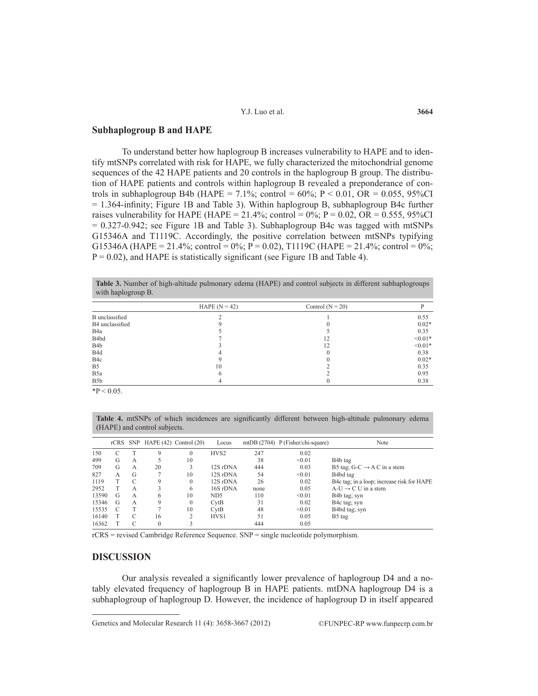# **Subhaplogroup B and HAPE**

To understand better how haplogroup B increases vulnerability to HAPE and to identify mtSNPs correlated with risk for HAPE, we fully characterized the mitochondrial genome sequences of the 42 HAPE patients and 20 controls in the haplogroup B group. The distribution of HAPE patients and controls within haplogroup B revealed a preponderance of controls in subhaplogroup B4b (HAPE = 7.1%; control =  $60\%$ ; P < 0.01, OR = 0.055, 95%CI = 1.364-infinity; Figure 1B and Table 3). Within haplogroup B, subhaplogroup B4c further raises vulnerability for HAPE (HAPE = 21.4%; control =  $0\%$ ; P = 0.02, OR = 0.555, 95%CI = 0.327-0.942; see Figure 1B and Table 3). Subhaplogroup B4c was tagged with mtSNPs G15346A and T1119C. Accordingly, the positive correlation between mtSNPs typifying G15346A (HAPE = 21.4%; control = 0%; P = 0.02), T1119C (HAPE = 21.4%; control = 0%;  $P = 0.02$ ), and HAPE is statistically significant (see Figure 1B and Table 4).

| <b>Table 3.</b> Number of high-altitude pulmonary edema (HAPE) and control subjects in different subhaplogroups |  |  |  |
|-----------------------------------------------------------------------------------------------------------------|--|--|--|
| with haplogroup B.                                                                                              |  |  |  |

|                   | HAPE $(N = 42)$ | Control $(N = 20)$ |           |
|-------------------|-----------------|--------------------|-----------|
| B unclassified    |                 |                    | 0.55      |
| B4 unclassified   |                 |                    | $0.02*$   |
| B <sub>4</sub> a  |                 |                    | 0.35      |
| B <sub>4</sub> bd |                 | 12                 | $< 0.01*$ |
| B <sub>4</sub> b  |                 | 12                 | $< 0.01*$ |
| B <sub>4</sub> d  |                 |                    | 0.38      |
| B <sub>4</sub> c  |                 |                    | $0.02*$   |
| B <sub>5</sub>    | 10              |                    | 0.35      |
| B <sub>5</sub> a  |                 |                    | 0.95      |
| B <sub>5</sub> b  |                 |                    | 0.38      |

 $*P < 0.05$ .

**Table 4.** mtSNPs of which incidences are significantly different between high-altitude pulmonary edema (HAPE) and control subjects.

|       |   |   |             | rCRS SNP HAPE (42) Control (20) | Locus            |      | mtDB $(2704)$ P (Fisher/chi-square) | Note                                       |
|-------|---|---|-------------|---------------------------------|------------------|------|-------------------------------------|--------------------------------------------|
| 150   |   |   | 9           | 0                               | HVS <sub>2</sub> | 247  | 0.02                                |                                            |
| 499   | G | А |             | 10                              |                  | 38   | < 0.01                              | B <sub>4</sub> b tag                       |
| 709   | G | А | 20          |                                 | 12S rDNA         | 444  | 0.03                                | B5 tag: G-C $\rightarrow$ A C in a stem    |
| 827   | A | G |             | 10                              | 12S rDNA         | 54   | < 0.01                              | B <sub>4</sub> bd tag                      |
| 1119  |   | C | $\mathbf Q$ | 0                               | 12S rDNA         | 26   | 0.02                                | B4c tag; in a loop; increase risk for HAPE |
| 2952  |   | А |             | 6                               | 16S rDNA         | none | 0.05                                | $A-U \rightarrow C U$ in a stem            |
| 13590 | G | A | 6           | 10                              | ND <sub>5</sub>  | 110  | < 0.01                              | B4b tag; syn                               |
| 15346 | G | A | 9           | 0                               | CvtB             | 31   | 0.02                                | B4c tag; syn                               |
| 15535 | C |   |             | 10                              | CvtB             | 48   | < 0.01                              | B4bd tag; syn                              |
| 16140 |   | C | 16          |                                 | HVS1             | 51   | 0.05                                | B5 tag                                     |
| 16362 |   |   | $\theta$    | 3                               |                  | 444  | 0.05                                |                                            |

rCRS = revised Cambridge Reference Sequence. SNP = single nucleotide polymorphism.

## **DISCUSSION**

Our analysis revealed a significantly lower prevalence of haplogroup D4 and a notably elevated frequency of haplogroup B in HAPE patients. mtDNA haplogroup D4 is a subhaplogroup of haplogroup D. However, the incidence of haplogroup D in itself appeared

Genetics and Molecular Research 11 (4): 3658-3667 (2012) ©FUNPEC-RP www.funpecrp.com.br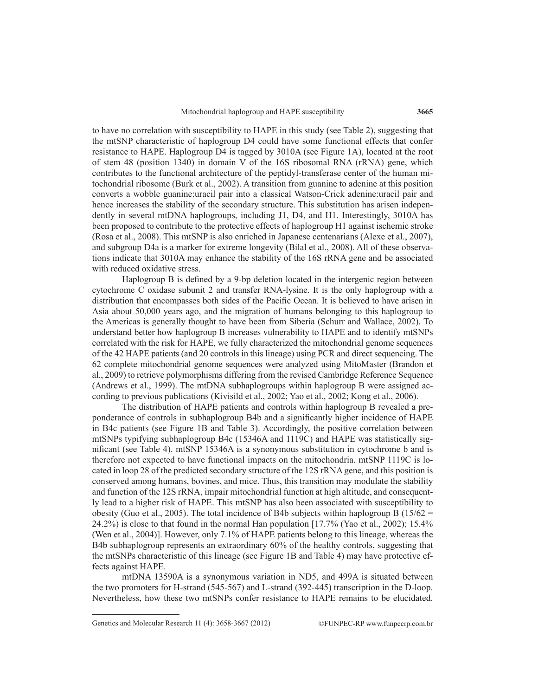to have no correlation with susceptibility to HAPE in this study (see Table 2), suggesting that the mtSNP characteristic of haplogroup D4 could have some functional effects that confer resistance to HAPE. Haplogroup D4 is tagged by 3010A (see Figure 1A), located at the root of stem 48 (position 1340) in domain V of the 16S ribosomal RNA (rRNA) gene, which contributes to the functional architecture of the peptidyl-transferase center of the human mitochondrial ribosome (Burk et al., 2002). A transition from guanine to adenine at this position converts a wobble guanine:uracil pair into a classical Watson-Crick adenine:uracil pair and hence increases the stability of the secondary structure. This substitution has arisen independently in several mtDNA haplogroups, including J1, D4, and H1. Interestingly, 3010A has been proposed to contribute to the protective effects of haplogroup H1 against ischemic stroke (Rosa et al., 2008). This mtSNP is also enriched in Japanese centenarians (Alexe et al., 2007), and subgroup D4a is a marker for extreme longevity (Bilal et al., 2008). All of these observations indicate that 3010A may enhance the stability of the 16S rRNA gene and be associated with reduced oxidative stress.

Haplogroup B is defined by a 9-bp deletion located in the intergenic region between cytochrome C oxidase subunit 2 and transfer RNA-lysine. It is the only haplogroup with a distribution that encompasses both sides of the Pacific Ocean. It is believed to have arisen in Asia about 50,000 years ago, and the migration of humans belonging to this haplogroup to the Americas is generally thought to have been from Siberia (Schurr and Wallace, 2002). To understand better how haplogroup B increases vulnerability to HAPE and to identify mtSNPs correlated with the risk for HAPE, we fully characterized the mitochondrial genome sequences of the 42 HAPE patients (and 20 controls in this lineage) using PCR and direct sequencing. The 62 complete mitochondrial genome sequences were analyzed using MitoMaster (Brandon et al., 2009) to retrieve polymorphisms differing from the revised Cambridge Reference Sequence (Andrews et al., 1999). The mtDNA subhaplogroups within haplogroup B were assigned according to previous publications (Kivisild et al., 2002; Yao et al., 2002; Kong et al., 2006).

The distribution of HAPE patients and controls within haplogroup B revealed a preponderance of controls in subhaplogroup B4b and a significantly higher incidence of HAPE in B4c patients (see Figure 1B and Table 3). Accordingly, the positive correlation between mtSNPs typifying subhaplogroup B4c (15346A and 1119C) and HAPE was statistically significant (see Table 4). mtSNP 15346A is a synonymous substitution in cytochrome b and is therefore not expected to have functional impacts on the mitochondria. mtSNP 1119C is located in loop 28 of the predicted secondary structure of the 12S rRNA gene, and this position is conserved among humans, bovines, and mice. Thus, this transition may modulate the stability and function of the 12S rRNA, impair mitochondrial function at high altitude, and consequently lead to a higher risk of HAPE. This mtSNP has also been associated with susceptibility to obesity (Guo et al., 2005). The total incidence of B4b subjects within haplogroup B (15/62 = 24.2%) is close to that found in the normal Han population [17.7% (Yao et al., 2002); 15.4% (Wen et al., 2004)]. However, only 7.1% of HAPE patients belong to this lineage, whereas the B4b subhaplogroup represents an extraordinary 60% of the healthy controls, suggesting that the mtSNPs characteristic of this lineage (see Figure 1B and Table 4) may have protective effects against HAPE.

mtDNA 13590A is a synonymous variation in ND5, and 499A is situated between the two promoters for H-strand (545-567) and L-strand (392-445) transcription in the D-loop. Nevertheless, how these two mtSNPs confer resistance to HAPE remains to be elucidated.

Genetics and Molecular Research 11 (4): 3658-3667 (2012) ©FUNPEC-RP www.funpecrp.com.br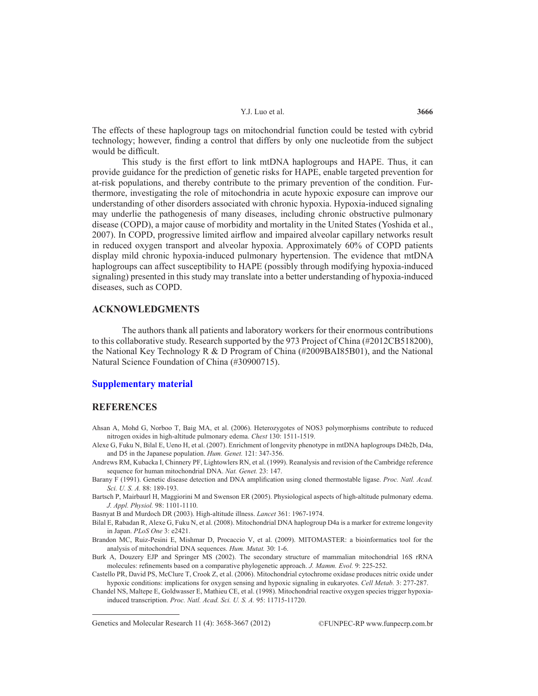The effects of these haplogroup tags on mitochondrial function could be tested with cybrid technology; however, finding a control that differs by only one nucleotide from the subject would be difficult.

This study is the first effort to link mtDNA haplogroups and HAPE. Thus, it can provide guidance for the prediction of genetic risks for HAPE, enable targeted prevention for at-risk populations, and thereby contribute to the primary prevention of the condition. Furthermore, investigating the role of mitochondria in acute hypoxic exposure can improve our understanding of other disorders associated with chronic hypoxia. Hypoxia-induced signaling may underlie the pathogenesis of many diseases, including chronic obstructive pulmonary disease (COPD), a major cause of morbidity and mortality in the United States (Yoshida et al., 2007). In COPD, progressive limited airflow and impaired alveolar capillary networks result in reduced oxygen transport and alveolar hypoxia. Approximately 60% of COPD patients display mild chronic hypoxia-induced pulmonary hypertension. The evidence that mtDNA haplogroups can affect susceptibility to HAPE (possibly through modifying hypoxia-induced signaling) presented in this study may translate into a better understanding of hypoxia-induced diseases, such as COPD.

# **ACKNOWLEDGMENTS**

The authors thank all patients and laboratory workers for their enormous contributions to this collaborative study. Research supported by the 973 Project of China (#2012CB518200), the National Key Technology R & D Program of China (#2009BAI85B01), and the National Natural Science Foundation of China (#30900715).

## **[Supplementary material](www.geneticsmr.com/year2012/vol11-4/pdf/gmr_1688_supplementary_material.pdf)**

# **REFERENCES**

- Ahsan A, Mohd G, Norboo T, Baig MA, et al. (2006). Heterozygotes of NOS3 polymorphisms contribute to reduced nitrogen oxides in high-altitude pulmonary edema. *Chest* 130: 1511-1519.
- Alexe G, Fuku N, Bilal E, Ueno H, et al. (2007). Enrichment of longevity phenotype in mtDNA haplogroups D4b2b, D4a, and D5 in the Japanese population. *Hum. Genet.* 121: 347-356.
- Andrews RM, Kubacka I, Chinnery PF, Lightowlers RN, et al. (1999). Reanalysis and revision of the Cambridge reference sequence for human mitochondrial DNA. *Nat. Genet.* 23: 147.
- Barany F (1991). Genetic disease detection and DNA amplification using cloned thermostable ligase. *Proc. Natl. Acad. Sci. U. S. A.* 88: 189-193.
- Bartsch P, Mairbaurl H, Maggiorini M and Swenson ER (2005). Physiological aspects of high-altitude pulmonary edema. *J. Appl. Physiol.* 98: 1101-1110.

Basnyat B and Murdoch DR (2003). High-altitude illness. *Lancet* 361: 1967-1974.

- Bilal E, Rabadan R, Alexe G, Fuku N, et al. (2008). Mitochondrial DNA haplogroup D4a is a marker for extreme longevity in Japan. *PLoS One* 3: e2421.
- Brandon MC, Ruiz-Pesini E, Mishmar D, Procaccio V, et al. (2009). MITOMASTER: a bioinformatics tool for the analysis of mitochondrial DNA sequences. *Hum. Mutat.* 30: 1-6.
- Burk A, Douzery EJP and Springer MS (2002). The secondary structure of mammalian mitochondrial 16S rRNA molecules: refinements based on a comparative phylogenetic approach. *J. Mamm. Evol.* 9: 225-252.
- Castello PR, David PS, McClure T, Crook Z, et al. (2006). Mitochondrial cytochrome oxidase produces nitric oxide under hypoxic conditions: implications for oxygen sensing and hypoxic signaling in eukaryotes. *Cell Metab.* 3: 277-287.
- Chandel NS, Maltepe E, Goldwasser E, Mathieu CE, et al. (1998). Mitochondrial reactive oxygen species trigger hypoxiainduced transcription. *Proc. Natl. Acad. Sci. U. S. A.* 95: 11715-11720.

Genetics and Molecular Research 11 (4): 3658-3667 (2012) ©FUNPEC-RP www.funpecrp.com.br